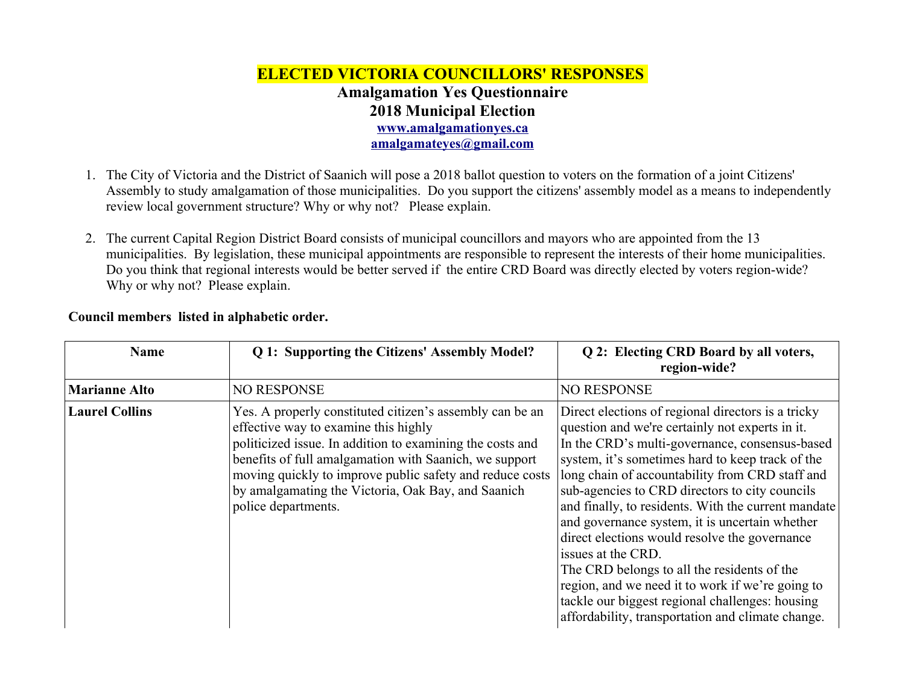## **ELECTED VICTORIA COUNCILLORS' RESPONSES Amalgamation Yes Questionnaire 2018 Municipal Election [www.amalgamationyes.ca](http://www.amalgamationyes.ca/) [amalgamateyes@gmail.com](mailto:amalgamateyes@gmail.com)**

- 1. The City of Victoria and the District of Saanich will pose a 2018 ballot question to voters on the formation of a joint Citizens' Assembly to study amalgamation of those municipalities. Do you support the citizens' assembly model as a means to independently review local government structure? Why or why not? Please explain.
- 2. The current Capital Region District Board consists of municipal councillors and mayors who are appointed from the 13 municipalities. By legislation, these municipal appointments are responsible to represent the interests of their home municipalities. Do you think that regional interests would be better served if the entire CRD Board was directly elected by voters region-wide? Why or why not? Please explain.

| <b>Name</b>           | Q 1: Supporting the Citizens' Assembly Model?                                                                                                                                                                                                                                                                                                                    | Q 2: Electing CRD Board by all voters,<br>region-wide?                                                                                                                                                                                                                                                                                                                                                                                                                                                                                                                                                                                                                                                      |
|-----------------------|------------------------------------------------------------------------------------------------------------------------------------------------------------------------------------------------------------------------------------------------------------------------------------------------------------------------------------------------------------------|-------------------------------------------------------------------------------------------------------------------------------------------------------------------------------------------------------------------------------------------------------------------------------------------------------------------------------------------------------------------------------------------------------------------------------------------------------------------------------------------------------------------------------------------------------------------------------------------------------------------------------------------------------------------------------------------------------------|
| <b>Marianne Alto</b>  | <b>NO RESPONSE</b>                                                                                                                                                                                                                                                                                                                                               | <b>NO RESPONSE</b>                                                                                                                                                                                                                                                                                                                                                                                                                                                                                                                                                                                                                                                                                          |
| <b>Laurel Collins</b> | Yes. A properly constituted citizen's assembly can be an<br>effective way to examine this highly<br>politicized issue. In addition to examining the costs and<br>benefits of full amalgamation with Saanich, we support<br>moving quickly to improve public safety and reduce costs<br>by amalgamating the Victoria, Oak Bay, and Saanich<br>police departments. | Direct elections of regional directors is a tricky<br>question and we're certainly not experts in it.<br>In the CRD's multi-governance, consensus-based<br>system, it's sometimes hard to keep track of the<br>long chain of accountability from CRD staff and<br>sub-agencies to CRD directors to city councils<br>and finally, to residents. With the current mandate<br>and governance system, it is uncertain whether<br>direct elections would resolve the governance<br>issues at the CRD.<br>The CRD belongs to all the residents of the<br>region, and we need it to work if we're going to<br>tackle our biggest regional challenges: housing<br>affordability, transportation and climate change. |

## **Council members listed in alphabetic order.**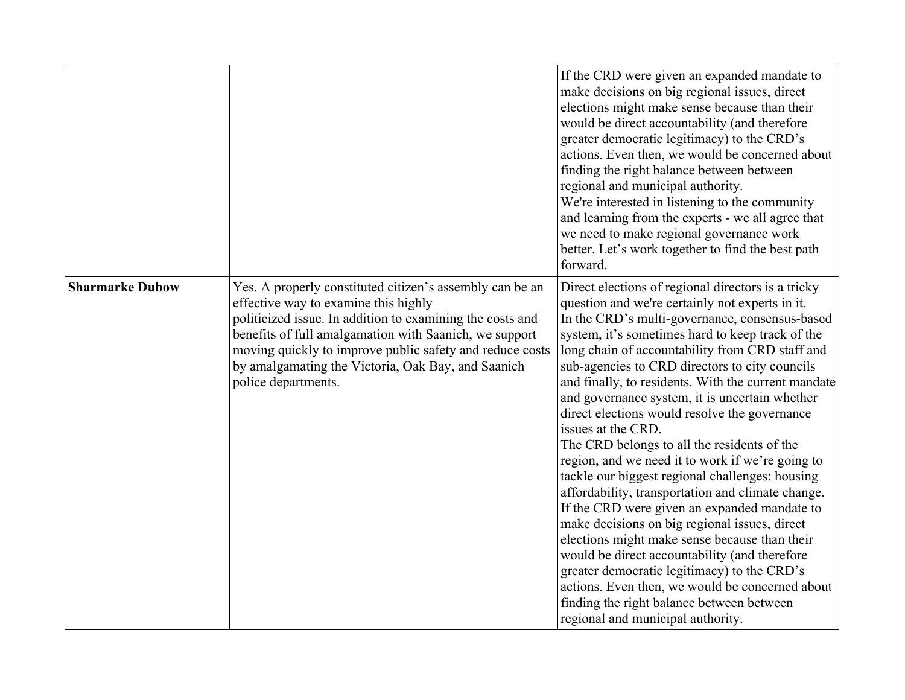|                        |                                                                                                                                                                                                                                                                                                                                                                  | If the CRD were given an expanded mandate to<br>make decisions on big regional issues, direct<br>elections might make sense because than their<br>would be direct accountability (and therefore<br>greater democratic legitimacy) to the CRD's<br>actions. Even then, we would be concerned about<br>finding the right balance between between<br>regional and municipal authority.<br>We're interested in listening to the community<br>and learning from the experts - we all agree that<br>we need to make regional governance work<br>better. Let's work together to find the best path<br>forward.                                                                                                                                                                                                                                                                                                                                                                                                                                                                                            |
|------------------------|------------------------------------------------------------------------------------------------------------------------------------------------------------------------------------------------------------------------------------------------------------------------------------------------------------------------------------------------------------------|----------------------------------------------------------------------------------------------------------------------------------------------------------------------------------------------------------------------------------------------------------------------------------------------------------------------------------------------------------------------------------------------------------------------------------------------------------------------------------------------------------------------------------------------------------------------------------------------------------------------------------------------------------------------------------------------------------------------------------------------------------------------------------------------------------------------------------------------------------------------------------------------------------------------------------------------------------------------------------------------------------------------------------------------------------------------------------------------------|
| <b>Sharmarke Dubow</b> | Yes. A properly constituted citizen's assembly can be an<br>effective way to examine this highly<br>politicized issue. In addition to examining the costs and<br>benefits of full amalgamation with Saanich, we support<br>moving quickly to improve public safety and reduce costs<br>by amalgamating the Victoria, Oak Bay, and Saanich<br>police departments. | Direct elections of regional directors is a tricky<br>question and we're certainly not experts in it.<br>In the CRD's multi-governance, consensus-based<br>system, it's sometimes hard to keep track of the<br>long chain of accountability from CRD staff and<br>sub-agencies to CRD directors to city councils<br>and finally, to residents. With the current mandate<br>and governance system, it is uncertain whether<br>direct elections would resolve the governance<br>issues at the CRD.<br>The CRD belongs to all the residents of the<br>region, and we need it to work if we're going to<br>tackle our biggest regional challenges: housing<br>affordability, transportation and climate change.<br>If the CRD were given an expanded mandate to<br>make decisions on big regional issues, direct<br>elections might make sense because than their<br>would be direct accountability (and therefore<br>greater democratic legitimacy) to the CRD's<br>actions. Even then, we would be concerned about<br>finding the right balance between between<br>regional and municipal authority. |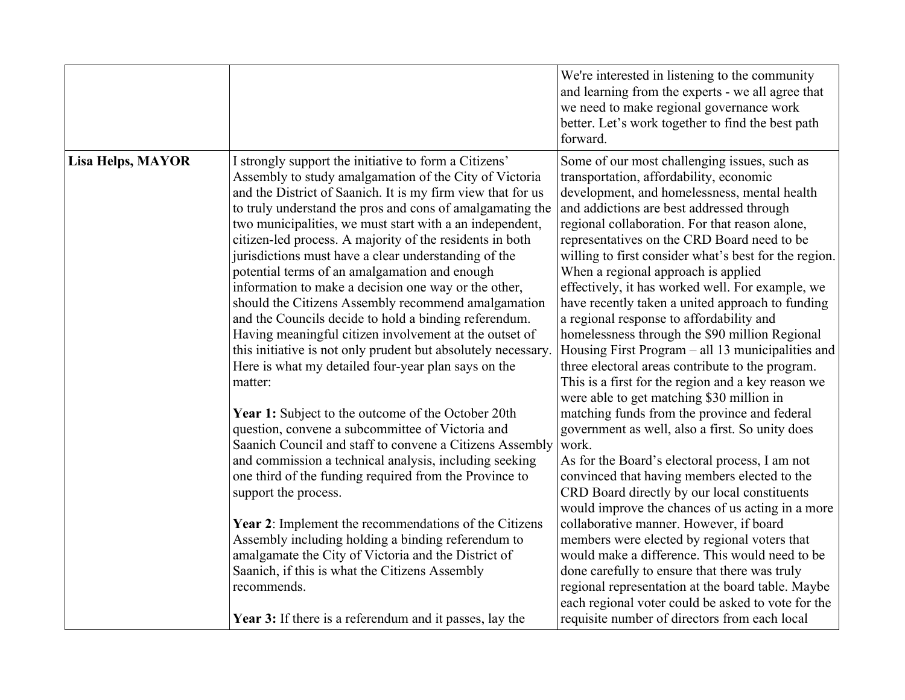|                          |                                                                                                                                                                                                                                                                                                                                                                                                                                                                                                                                                                                                                                                                                                                                                                                                                                                   | We're interested in listening to the community<br>and learning from the experts - we all agree that<br>we need to make regional governance work<br>better. Let's work together to find the best path<br>forward.                                                                                                                                                                                                                                                                                                                                                                                                                                                                                                                                                                                        |
|--------------------------|---------------------------------------------------------------------------------------------------------------------------------------------------------------------------------------------------------------------------------------------------------------------------------------------------------------------------------------------------------------------------------------------------------------------------------------------------------------------------------------------------------------------------------------------------------------------------------------------------------------------------------------------------------------------------------------------------------------------------------------------------------------------------------------------------------------------------------------------------|---------------------------------------------------------------------------------------------------------------------------------------------------------------------------------------------------------------------------------------------------------------------------------------------------------------------------------------------------------------------------------------------------------------------------------------------------------------------------------------------------------------------------------------------------------------------------------------------------------------------------------------------------------------------------------------------------------------------------------------------------------------------------------------------------------|
| <b>Lisa Helps, MAYOR</b> | I strongly support the initiative to form a Citizens'<br>Assembly to study amalgamation of the City of Victoria<br>and the District of Saanich. It is my firm view that for us<br>to truly understand the pros and cons of amalgamating the<br>two municipalities, we must start with a an independent,<br>citizen-led process. A majority of the residents in both<br>jurisdictions must have a clear understanding of the<br>potential terms of an amalgamation and enough<br>information to make a decision one way or the other,<br>should the Citizens Assembly recommend amalgamation<br>and the Councils decide to hold a binding referendum.<br>Having meaningful citizen involvement at the outset of<br>this initiative is not only prudent but absolutely necessary.<br>Here is what my detailed four-year plan says on the<br>matter: | Some of our most challenging issues, such as<br>transportation, affordability, economic<br>development, and homelessness, mental health<br>and addictions are best addressed through<br>regional collaboration. For that reason alone,<br>representatives on the CRD Board need to be<br>willing to first consider what's best for the region.<br>When a regional approach is applied<br>effectively, it has worked well. For example, we<br>have recently taken a united approach to funding<br>a regional response to affordability and<br>homelessness through the \$90 million Regional<br>Housing First Program – all 13 municipalities and<br>three electoral areas contribute to the program.<br>This is a first for the region and a key reason we<br>were able to get matching \$30 million in |
|                          | Year 1: Subject to the outcome of the October 20th<br>question, convene a subcommittee of Victoria and<br>Saanich Council and staff to convene a Citizens Assembly<br>and commission a technical analysis, including seeking<br>one third of the funding required from the Province to<br>support the process.<br><b>Year 2:</b> Implement the recommendations of the Citizens<br>Assembly including holding a binding referendum to<br>amalgamate the City of Victoria and the District of<br>Saanich, if this is what the Citizens Assembly<br>recommends.<br><b>Year 3:</b> If there is a referendum and it passes, lay the                                                                                                                                                                                                                    | matching funds from the province and federal<br>government as well, also a first. So unity does<br>work.<br>As for the Board's electoral process, I am not<br>convinced that having members elected to the<br>CRD Board directly by our local constituents<br>would improve the chances of us acting in a more<br>collaborative manner. However, if board<br>members were elected by regional voters that<br>would make a difference. This would need to be<br>done carefully to ensure that there was truly<br>regional representation at the board table. Maybe<br>each regional voter could be asked to vote for the<br>requisite number of directors from each local                                                                                                                                |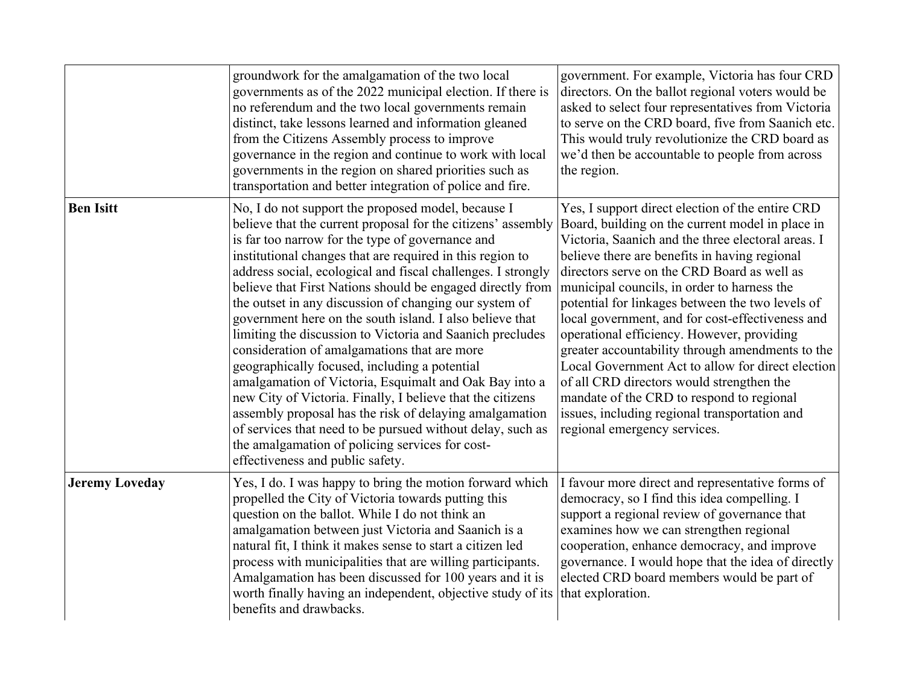|                       | groundwork for the amalgamation of the two local<br>governments as of the 2022 municipal election. If there is<br>no referendum and the two local governments remain<br>distinct, take lessons learned and information gleaned<br>from the Citizens Assembly process to improve<br>governance in the region and continue to work with local<br>governments in the region on shared priorities such as<br>transportation and better integration of police and fire.                                                                                                                                                                                                                                                                                                                                                                                                                                                                                                                            | government. For example, Victoria has four CRD<br>directors. On the ballot regional voters would be<br>asked to select four representatives from Victoria<br>to serve on the CRD board, five from Saanich etc.<br>This would truly revolutionize the CRD board as<br>we'd then be accountable to people from across<br>the region.                                                                                                                                                                                                                                                                                                                                                                                                                  |
|-----------------------|-----------------------------------------------------------------------------------------------------------------------------------------------------------------------------------------------------------------------------------------------------------------------------------------------------------------------------------------------------------------------------------------------------------------------------------------------------------------------------------------------------------------------------------------------------------------------------------------------------------------------------------------------------------------------------------------------------------------------------------------------------------------------------------------------------------------------------------------------------------------------------------------------------------------------------------------------------------------------------------------------|-----------------------------------------------------------------------------------------------------------------------------------------------------------------------------------------------------------------------------------------------------------------------------------------------------------------------------------------------------------------------------------------------------------------------------------------------------------------------------------------------------------------------------------------------------------------------------------------------------------------------------------------------------------------------------------------------------------------------------------------------------|
| <b>Ben Isitt</b>      | No, I do not support the proposed model, because I<br>believe that the current proposal for the citizens' assembly<br>is far too narrow for the type of governance and<br>institutional changes that are required in this region to<br>address social, ecological and fiscal challenges. I strongly<br>believe that First Nations should be engaged directly from<br>the outset in any discussion of changing our system of<br>government here on the south island. I also believe that<br>limiting the discussion to Victoria and Saanich precludes<br>consideration of amalgamations that are more<br>geographically focused, including a potential<br>amalgamation of Victoria, Esquimalt and Oak Bay into a<br>new City of Victoria. Finally, I believe that the citizens<br>assembly proposal has the risk of delaying amalgamation<br>of services that need to be pursued without delay, such as<br>the amalgamation of policing services for cost-<br>effectiveness and public safety. | Yes, I support direct election of the entire CRD<br>Board, building on the current model in place in<br>Victoria, Saanich and the three electoral areas. I<br>believe there are benefits in having regional<br>directors serve on the CRD Board as well as<br>municipal councils, in order to harness the<br>potential for linkages between the two levels of<br>local government, and for cost-effectiveness and<br>operational efficiency. However, providing<br>greater accountability through amendments to the<br>Local Government Act to allow for direct election<br>of all CRD directors would strengthen the<br>mandate of the CRD to respond to regional<br>issues, including regional transportation and<br>regional emergency services. |
| <b>Jeremy Loveday</b> | Yes, I do. I was happy to bring the motion forward which<br>propelled the City of Victoria towards putting this<br>question on the ballot. While I do not think an<br>amalgamation between just Victoria and Saanich is a<br>natural fit, I think it makes sense to start a citizen led<br>process with municipalities that are willing participants.<br>Amalgamation has been discussed for 100 years and it is<br>worth finally having an independent, objective study of its<br>benefits and drawbacks.                                                                                                                                                                                                                                                                                                                                                                                                                                                                                    | I favour more direct and representative forms of<br>democracy, so I find this idea compelling. I<br>support a regional review of governance that<br>examines how we can strengthen regional<br>cooperation, enhance democracy, and improve<br>governance. I would hope that the idea of directly<br>elected CRD board members would be part of<br>that exploration.                                                                                                                                                                                                                                                                                                                                                                                 |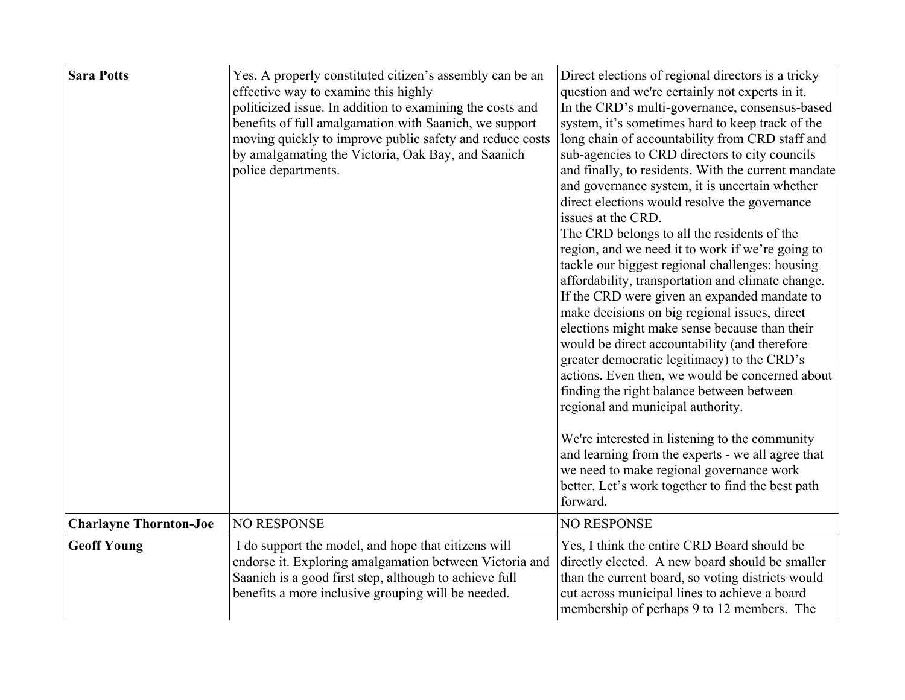| <b>Sara Potts</b>             | Yes. A properly constituted citizen's assembly can be an<br>effective way to examine this highly<br>politicized issue. In addition to examining the costs and<br>benefits of full amalgamation with Saanich, we support<br>moving quickly to improve public safety and reduce costs<br>by amalgamating the Victoria, Oak Bay, and Saanich<br>police departments. | Direct elections of regional directors is a tricky<br>question and we're certainly not experts in it.<br>In the CRD's multi-governance, consensus-based<br>system, it's sometimes hard to keep track of the<br>long chain of accountability from CRD staff and<br>sub-agencies to CRD directors to city councils<br>and finally, to residents. With the current mandate<br>and governance system, it is uncertain whether<br>direct elections would resolve the governance<br>issues at the CRD.<br>The CRD belongs to all the residents of the<br>region, and we need it to work if we're going to<br>tackle our biggest regional challenges: housing<br>affordability, transportation and climate change.<br>If the CRD were given an expanded mandate to<br>make decisions on big regional issues, direct<br>elections might make sense because than their<br>would be direct accountability (and therefore<br>greater democratic legitimacy) to the CRD's<br>actions. Even then, we would be concerned about<br>finding the right balance between between<br>regional and municipal authority.<br>We're interested in listening to the community<br>and learning from the experts - we all agree that<br>we need to make regional governance work<br>better. Let's work together to find the best path<br>forward. |
|-------------------------------|------------------------------------------------------------------------------------------------------------------------------------------------------------------------------------------------------------------------------------------------------------------------------------------------------------------------------------------------------------------|------------------------------------------------------------------------------------------------------------------------------------------------------------------------------------------------------------------------------------------------------------------------------------------------------------------------------------------------------------------------------------------------------------------------------------------------------------------------------------------------------------------------------------------------------------------------------------------------------------------------------------------------------------------------------------------------------------------------------------------------------------------------------------------------------------------------------------------------------------------------------------------------------------------------------------------------------------------------------------------------------------------------------------------------------------------------------------------------------------------------------------------------------------------------------------------------------------------------------------------------------------------------------------------------------------------------|
| <b>Charlayne Thornton-Joe</b> | <b>NO RESPONSE</b>                                                                                                                                                                                                                                                                                                                                               | <b>NO RESPONSE</b>                                                                                                                                                                                                                                                                                                                                                                                                                                                                                                                                                                                                                                                                                                                                                                                                                                                                                                                                                                                                                                                                                                                                                                                                                                                                                                     |
| <b>Geoff Young</b>            | I do support the model, and hope that citizens will<br>endorse it. Exploring amalgamation between Victoria and<br>Saanich is a good first step, although to achieve full<br>benefits a more inclusive grouping will be needed.                                                                                                                                   | Yes, I think the entire CRD Board should be<br>directly elected. A new board should be smaller<br>than the current board, so voting districts would<br>cut across municipal lines to achieve a board<br>membership of perhaps 9 to 12 members. The                                                                                                                                                                                                                                                                                                                                                                                                                                                                                                                                                                                                                                                                                                                                                                                                                                                                                                                                                                                                                                                                     |